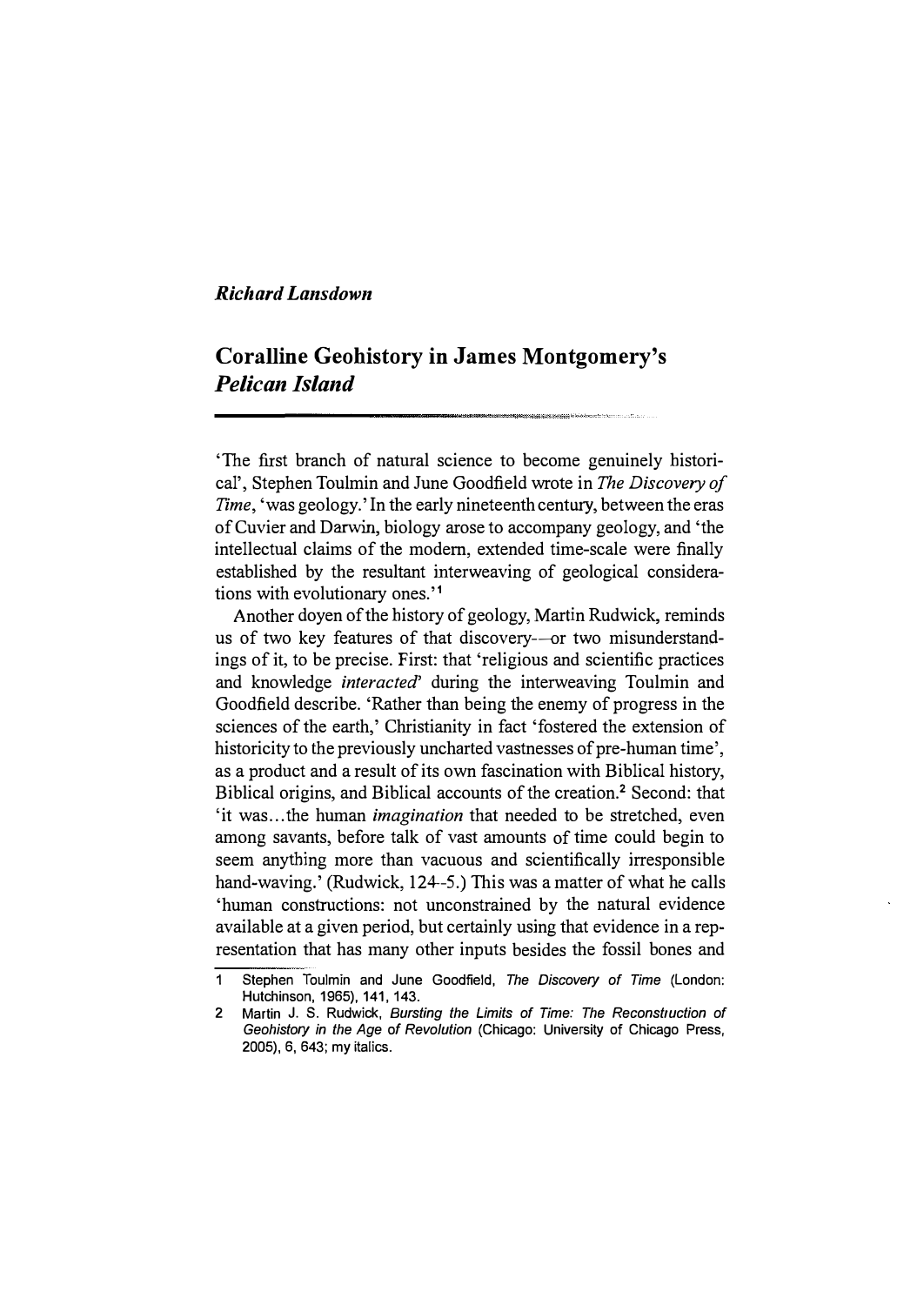### Richard Lansdown

# Coralline Geohistory in James Montgomery's Pelican Island

'The first branch of natural science to become genuinely historical', Stephen Toulmin and June Goodfield wrote in The Discovery of Time, 'was geology.' In the early nineteenth century, between the eras of Cuvier and Darwin, biology arose to accompany geology, and 'the intellectual claims of the modern, extended time-scale were finally established by the resultant interweaving of geological considerations with evolutionary ones.'<sup>1</sup>

Another doyen of the history of geology, Martin Rudwick, reminds us of two key features of that discovery--- or two misunderstandings of it, to be precise. First: that 'religious and scientific practices and knowledge interacted' during the interweaving Toulmin and Goodfield describe. 'Rather than being the enemy of progress in the sciences of the earth,' Christianity in fact 'fostered the extension of historicity to the previously uncharted vastnesses of pre-human time', as a product and a result of its own fascination with Biblical history, Biblical origins, and Biblical accounts of the creation.<sup>2</sup> Second: that 'it was...the human *imagination* that needed to be stretched, even among savants, before talk of vast amounts of time could begin to seem anything more than vacuous and scientifically irresponsible hand-waving.' (Rudwick, 124-5.) This was a matter of what he calls 'human constructions: not unconstrained by the natural evidence available at a given period, but certainly using that evidence in a representation that has many other inputs besides the fossil bones and

<sup>1</sup> Stephen Toulmin and June Goodfield, The Discovery of Time (London: Hutchinson, 1965). 141, 143.

<sup>2</sup> Martin J. S. Rudwick, Bursting the Limits of Time: The Reconstruction of Geohistory in the Age of Revolution (Chicago: University of Chicago Press, 2005), 6, 643; my italics.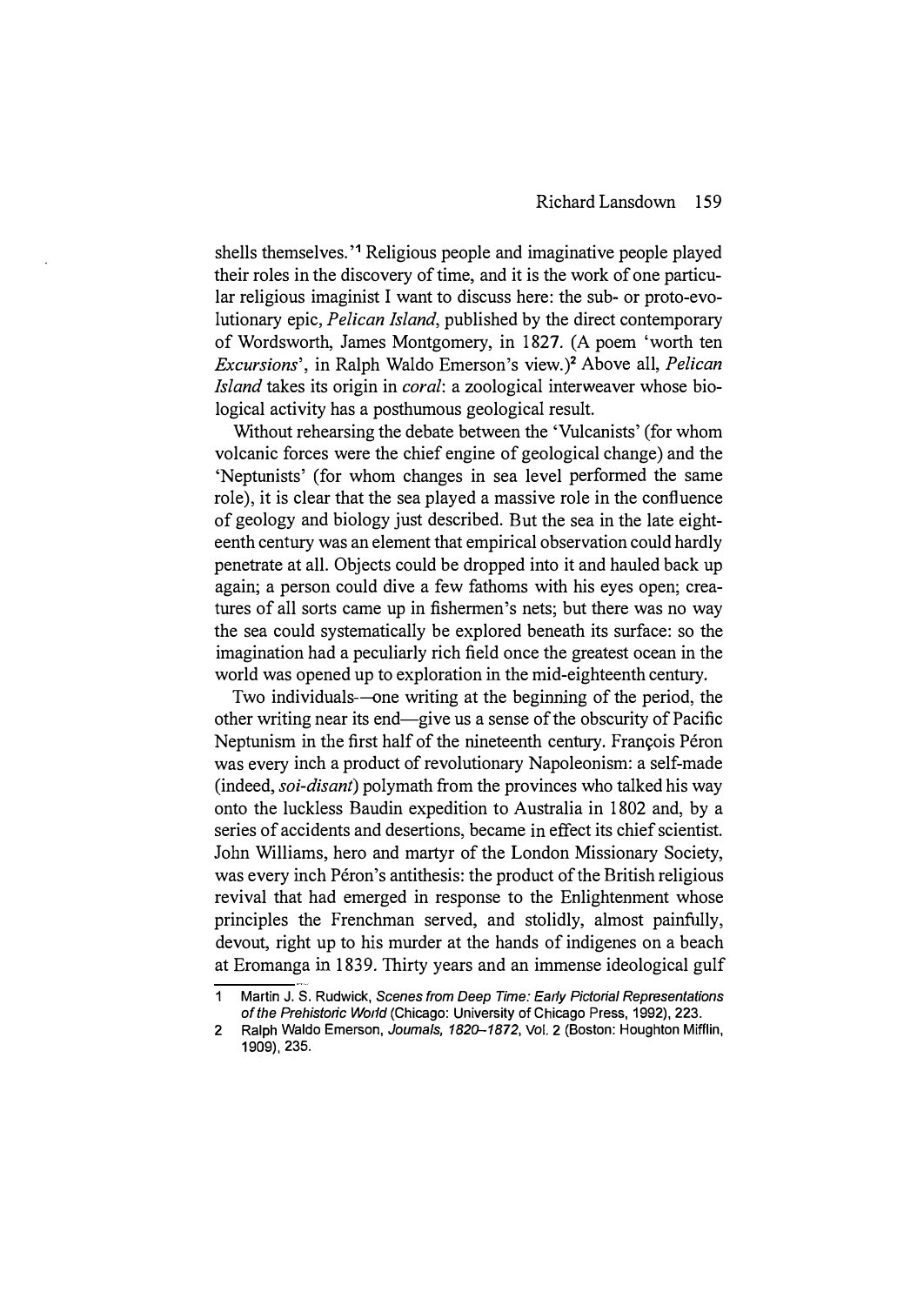shells themselves.<sup>1</sup> Religious people and imaginative people played their roles in the discovery of time, and it is the work of one particular religious imaginist I want to discuss here: the sub- or proto-evolutionary epic, Pelican Island, published by the direct contemporary of Wordsworth, James Montgomery, in 1827. (A poem 'worth ten Excursions', in Ralph Waldo Emerson's view.)2 Above all, Pelican Island takes its origin in coral: a zoological interweaver whose biological activity has a posthumous geological result.

Without rehearsing the debate between the 'Vulcanists' (for whom volcanic forces were the chief engine of geological change) and the 'Neptunists' (for whom changes in sea level performed the same role), it is clear that the sea played a massive role in the confluence of geology and biology just described. But the sea in the late eighteenth century was an element that empirical observation could hardly penetrate at all. Objects could be dropped into it and hauled back up again; a person could dive a few fathoms with his eyes open; creatures of all sorts came up in fishermen's nets; but there was no way the sea could systematically be explored beneath its surface: so the imagination had a peculiarly rich field once the greatest ocean in the world was opened up to exploration in the mid-eighteenth century.

Two individuals-one writing at the beginning of the period, the other writing near its end-give us a sense of the obscurity of Pacific Neptunism in the first half of the nineteenth century. François Péron was every inch a product of revolutionary Napoleonism: a self-made (indeed, *soi-disant*) polymath from the provinces who talked his way onto the luckless Baudin expedition to Australia in 1802 and, by a series of accidents and desertions, became in effect its chief scientist. John Williams, hero and martyr of the London Missionary Society, was every inch Péron's antithesis: the product of the British religious revival that had emerged in response to the Enlightenment whose principles the Frenchman served, and stolidly, almost painfully, devout, right up to his murder at the hands of indigenes on a beach at Eromanga in 1839. Thirty years and an immense ideological gulf

<sup>1</sup> Martin J. S. Rudwick, Scenes from Deep Time: Early Pictorial Representations of the Prehistoric World (Chicago: University of Chicago Press, 1992), 223.

<sup>2</sup> Ralph Waldo Emerson, Joumals, 1820-1872, Vol. 2 (Boston: Houghton Mifflin, 1909), 235.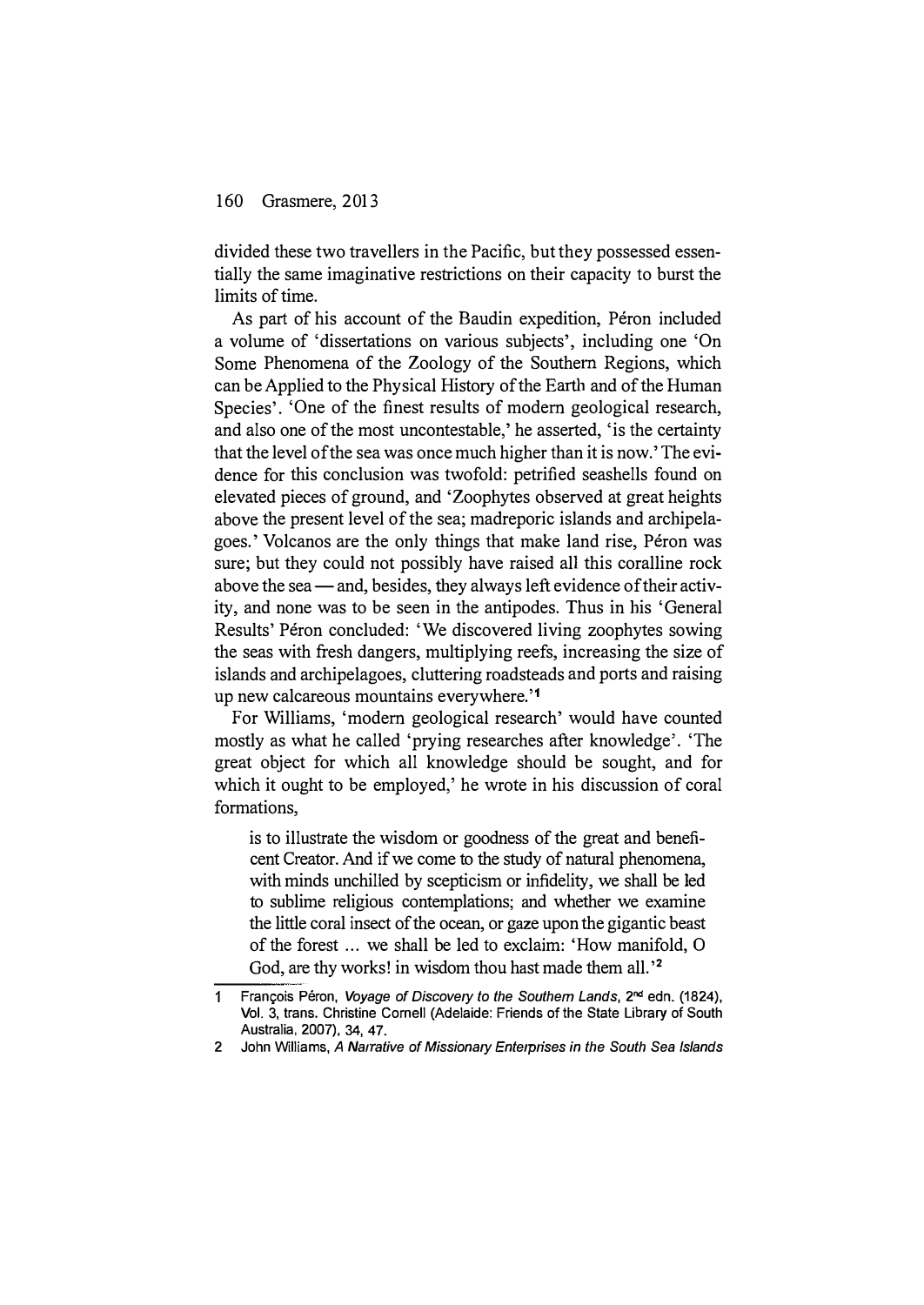divided these two travellers in the Pacific, but they possessed essentially the same imaginative restrictions on their capacity to burst the limits of time.

As part of his account of the Baudin expedition, Péron included a volume of 'dissertations on various subjects', including one 'On Some Phenomena of the Zoology of the Southern Regions, which can be Applied to the Physical History of the Earth and of the Human Species'. 'One of the finest results of modem geological research, and also one of the most uncontestable,' he asserted, 'is the certainty that the level of the sea was once much higher than it is now.' The evidence for this conclusion was twofold: petrified seashells found on elevated pieces of ground, and 'Zoophytes observed at great heights above the present level of the sea; madreporic islands and archipelagoes.' Volcanos are the only things that make land rise, Péron was sure; but they could not possibly have raised all this coralline rock above the sea — and, besides, they always left evidence of their activity, and none was to be seen in the antipodes. Thus in his 'General Results' Péron concluded: 'We discovered living zoophytes sowing the seas with fresh dangers, multiplying reefs, increasing the size of islands and archipelagoes, cluttering roadsteads and ports and raising up new calcareous mountains everywhere."

For Williams, 'modem geological research' would have counted mostly as what he called 'prying researches after knowledge'. 'The great object for which all knowledge should be sought, and for which it ought to be employed,' he wrote in his discussion of coral formations,

is to illustrate the wisdom or goodness of the great and beneficent Creator. And if we come to the study of natural phenomena, with minds unchilled by scepticism or infidelity, we shall be led to sublime religious contemplations; and whether we examine the little coral insect of the ocean, or gaze upon the gigantic beast of the forest ... we shall be led to exclaim: 'How manifold, 0 God, are thy works! in wisdom thou hast made them all.'<sup>2</sup>

<sup>1</sup> François Péron, Voyage of Discovery to the Southern Lands, 2<sup>nd</sup> edn. (1824), Vol. 3, trans. Christine Cornell (Adelaide: Friends of the State Library of South Australia. 2007). 34, 47.

<sup>2</sup> John Williams, A Narrative of Missionary Enterprises in the South Sea Islands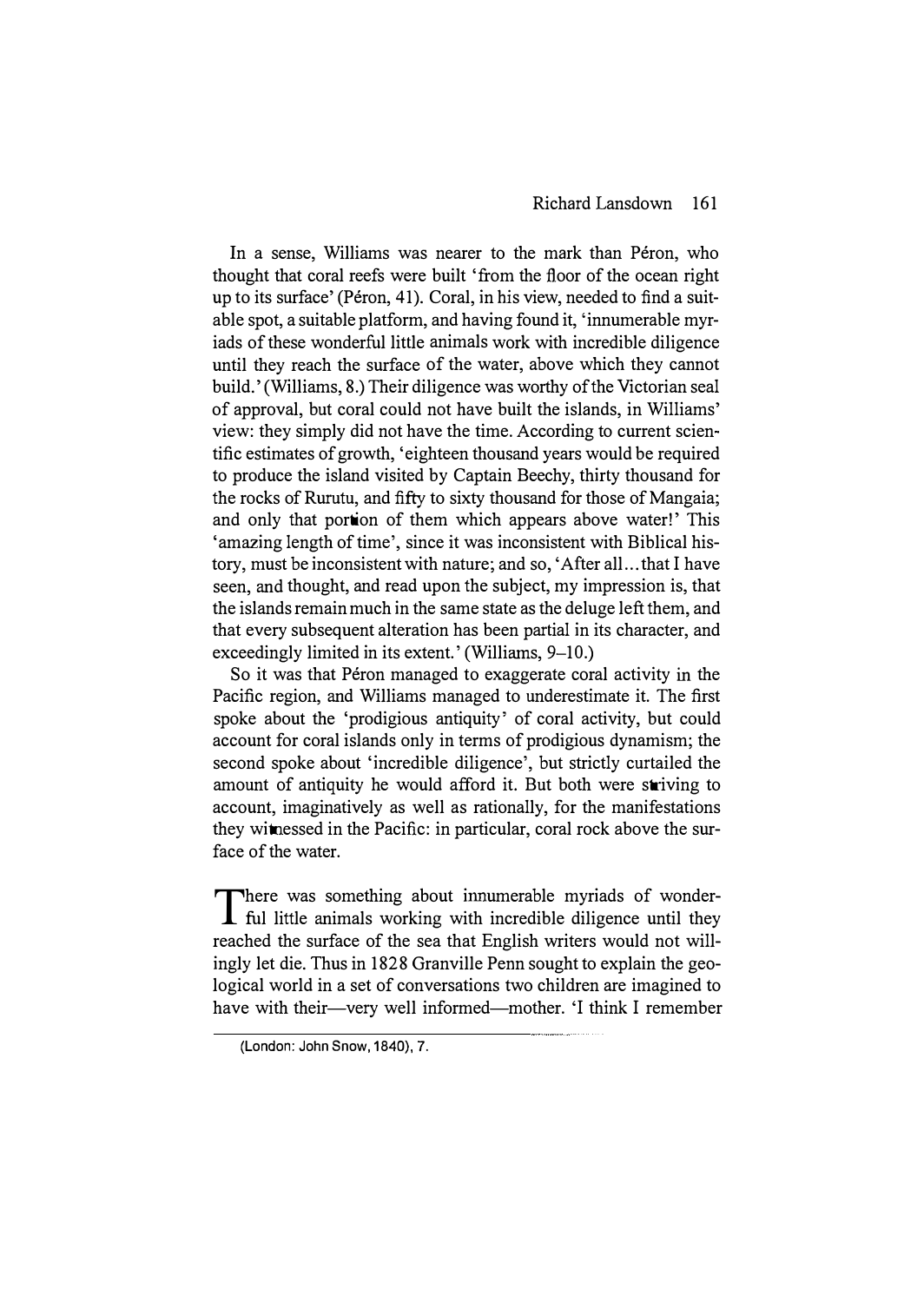#### Richard Lansdown 161

In a sense, Williams was nearer to the mark than Péron, who thought that coral reefs were built 'from the floor of the ocean right up to its surface' (Péron, 41). Coral, in his view, needed to find a suitable spot, a suitable platform, and having found it, 'innumerable myriads of these wonderful little animals work with incredible diligence until they reach the surface of the water, above which they cannot build.' (Williams, 8.) Their diligence was worthy of the Victorian seal of approval, but coral could not have built the islands, in Williams' view: they simply did not have the time. According to current scientific estimates of growth, 'eighteen thousand years would be required to produce the island visited by Captain Beechy, thirty thousand for the rocks of Rurutu, and fifty to sixty thousand for those of Mangaia; and only that portion of them which appears above water!' This 'amazing length of time', since it was inconsistent with Biblical history, must be inconsistent with nature; and so, 'After all ... that I have seen, and thought, and read upon the subject, my impression is, that the islands remain much in the same state as the deluge left them, and that every subsequent alteration has been partial in its character, and exceedingly limited in its extent.' (Williams, 9–10.)

So it was that Péron managed to exaggerate coral activity in the Pacific region, and Williams managed to underestimate it. The first spoke about the 'prodigious antiquity' of coral activity, but could account for coral islands only in terms of prodigious dynamism; the second spoke about 'incredible diligence', but strictly curtailed the amount of antiquity he would afford it. But both were striving to account, imaginatively as well as rationally, for the manifestations they witnessed in the Pacific: in particular, coral rock above the surface of the water.

There was something about innumerable myriads of wonder-<br>I ful little animals working with incredible diligence until they There was something about innumerable myriads of wonderreached the surface of the sea that English writers would not willingly let die. Thus in 1828 Granville Penn sought to explain the geological world in a set of conversations two children are imagined to have with their—very well informed—mother. 'I think I remember

<sup>(</sup>London: John Snow, 1840), 7.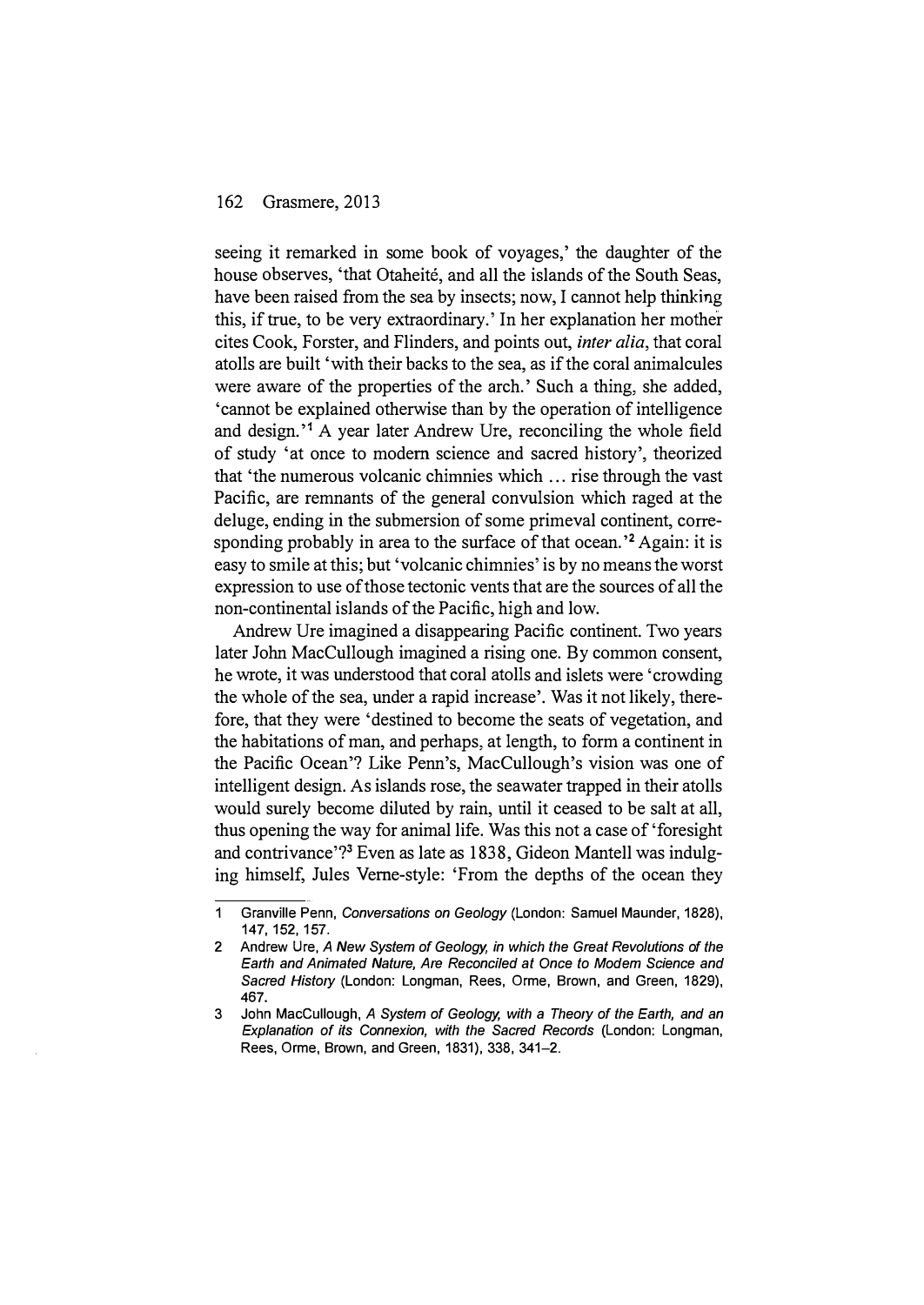seeing it remarked in some book of voyages,' the daughter of the house observes, 'that Otaheité, and all the islands of the South Seas, have been raised from the sea by insects; now, I cannot help thinking this, if true, to be very extraordinary.' In her explanation her mother cites Cook, Forster, and Flinders, and points out, inter alia, that coral atolls are built 'with their backs to the sea, as if the coral animalcules were aware of the properties of the arch.' Such a thing, she added, 'cannot be explained otherwise than by the operation of intelligence and design.<sup>'1</sup> A year later Andrew Ure, reconciling the whole field of study 'at once to modem science and sacred history', theorized that 'the numerous volcanic chimnies which ... rise through the vast Pacific, are remnants of the general convulsion which raged at the deluge, ending in the submersion of some primeval continent, corresponding probably in area to the surface of that ocean.<sup>'2</sup> Again: it is easy to smile at this; but 'volcanic chimnies' is by no means the worst expression to use of those tectonic vents that are the sources of all the non-continental islands of the Pacific, high and low.

Andrew Ure imagined a disappearing Pacific continent. Two years later John MacCullough imagined a rising one. By common consent, he wrote, it was understood that coral atolls and islets were 'crowding the whole of the sea, under a rapid increase'. Was it not likely, therefore, that they were 'destined to become the seats of vegetation, and the habitations of man, and perhaps, at length, to form a continent in the Pacific Ocean'? Like Penn's, MacCullough's vision was one of intelligent design. As islands rose, the seawater trapped in their atolls would surely become diluted by rain, until it ceased to be salt at all, thus opening the way for animal life. Was this not a case of 'foresight and contrivance'?3 Even as late as 1838, Gideon Mantell was indulging himself, Jules Verne-style: 'From the depths of the ocean they

<sup>1</sup> Granville Penn, Conversations on Geology (London: Samuel Maunder, 1828), 147, 152, 157.

<sup>2</sup> Andrew Ure, A New System of Geology, in which the Great Revolutions of the Earth and Animated Nature, Are Reconciled at Once to Modem Science and Sacred History (London: Longman, Rees, Orme, Brown, and Green, 1829), 467.

<sup>3</sup> John MacCullough, A System of Geology, with a Theory of the Earth, and an Explanation of its Connexion, with the Sacred Records (London: Longman, Rees, Orme, Brown, and Green, 1831), 338, 341-2.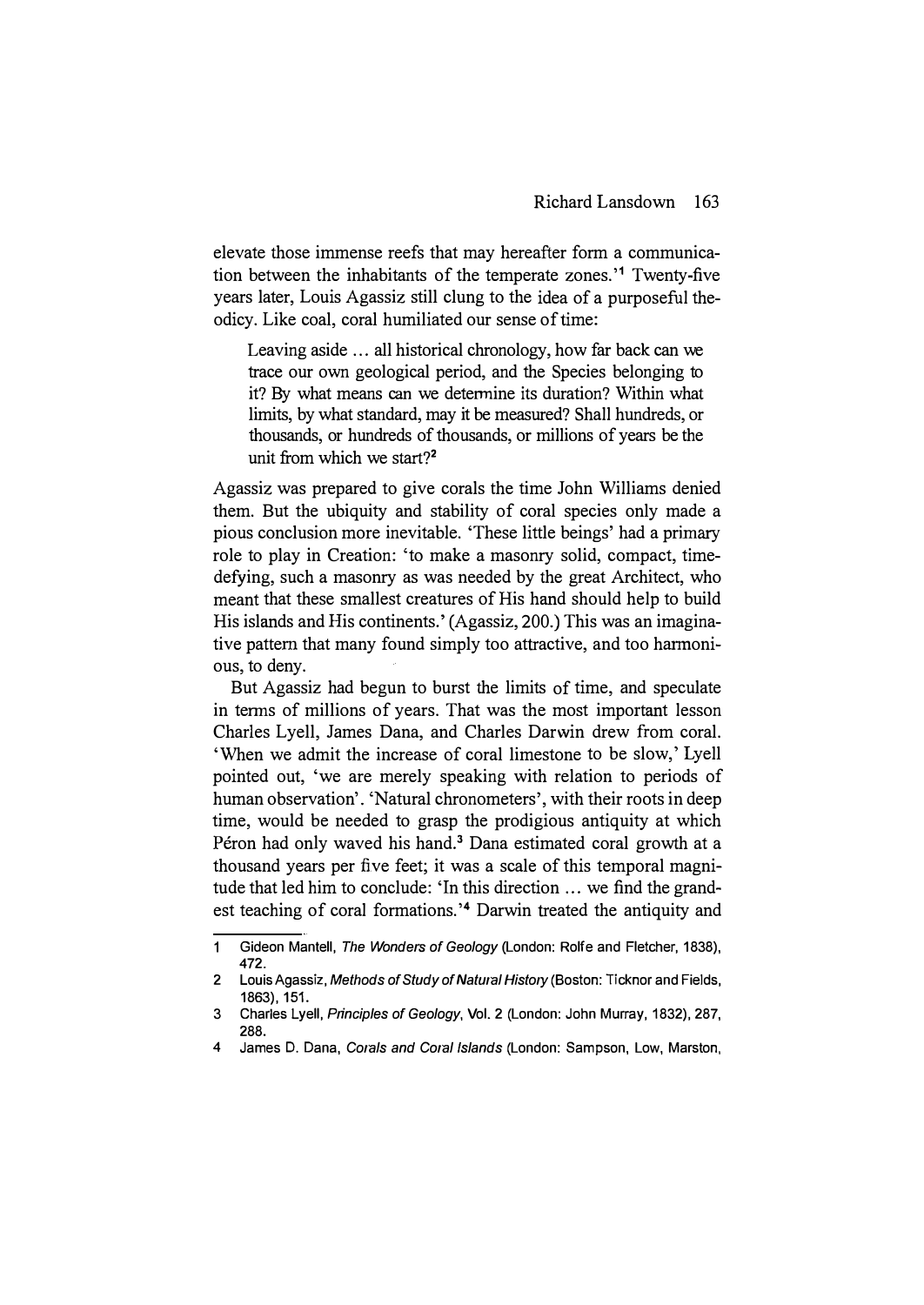elevate those immense reefs that may hereafter form a communication between the inhabitants of the temperate zones.'1 Twenty-five years later, Louis Agassiz still clung to the idea of a purposeful theodicy. Like coal, coral humiliated our sense of time:

Leaving aside ... all historical chronology, how far back can we trace our own geological period, and the Species belonging to it? By what means can we determine its duration? Within what limits, by what standard, may it be measured? Shall hundreds, or thousands, or hundreds of thousands, or millions of years be the unit from which we start?<sup>2</sup>

Agassiz was prepared to give corals the time John Williams denied them. But the ubiquity and stability of coral species only made a pious conclusion more inevitable. 'These little beings' had a primary role to play in Creation: 'to make a masonry solid, compact, timedefying, such a masonry as was needed by the great Architect, who meant that these smallest creatures of His hand should help to build His islands and His continents.' (Agassiz, 200.) This was an imaginative pattern that many found simply too attractive, and too harmonious, to deny.

But Agassiz had begun to burst the limits of time, and speculate in terms of millions of years. That was the most important lesson Charles Lyell, James Dana, and Charles Darwin drew from coral. 'When we admit the increase of coral limestone to be slow,' Lyell pointed out, 'we are merely speaking with relation to periods of human observation'. 'Natural chronometers', with their roots in deep time, would be needed to grasp the prodigious antiquity at which Péron had only waved his hand.<sup>3</sup> Dana estimated coral growth at a thousand years per five feet; it was a scale of this temporal magnitude that led him to conclude: 'In this direction ... we find the grandest teaching of coral formations.'4 Darwin treated the antiquity and

 $\mathbf{1}$ Gideon Mantell, The Wonders of Geology (London: Rolfe and Fletcher, 1838), 472.

<sup>2</sup> Louis Agassiz, Methods of Study of Natural History (Boston: Ticknor and Fields, 1863), 151.

<sup>3</sup> Charles Lyell, Principles of Geology, Vol. 2 (London: John Murray, 1832), 287, 288.

<sup>4</sup> James D. Dana, Corals and Coral Islands (London: Sampson, Low, Marston,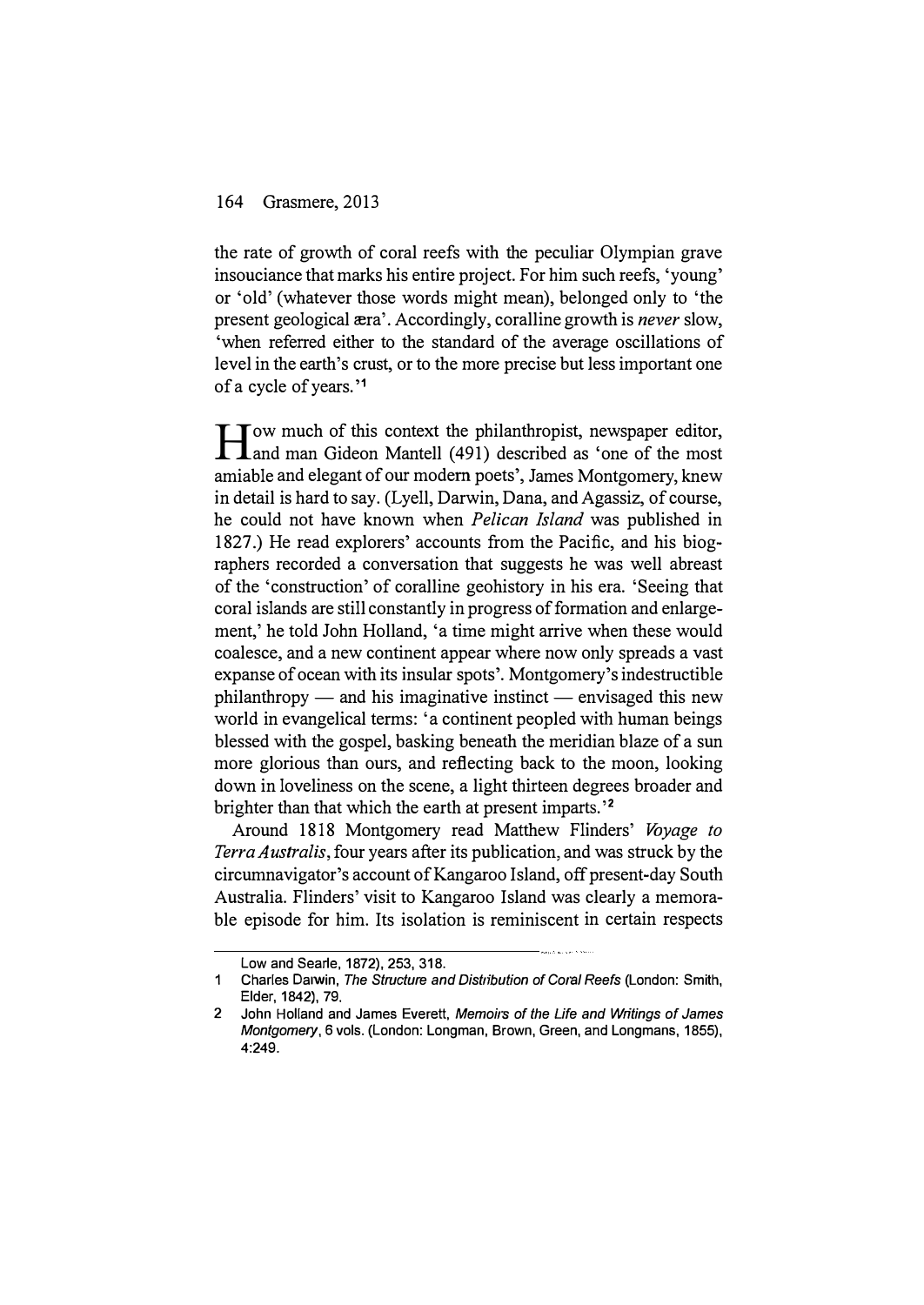the rate of growth of coral reefs with the peculiar Olympian grave insouciance that marks his entire project. For him such reefs, 'young' or 'old' (whatever those words might mean), belonged only to 'the present geological  $era'$ . Accordingly, coralline growth is *never* slow, 'when referred either to the standard of the average oscillations of level in the earth's crust, or to the more precise but less important one of a cycle of years.'1

I Jow much of this context the philanthropist, newspaper editor,<br>I and man Gideon Mantell (491) described as 'one of the most and man Gideon Mantell (491) described as 'one of the most amiable and elegant of our modem poets', James Montgomery, knew in detail is hard to say. (Lyell, Darwin, Dana, and Agassiz, of course, he could not have known when Pelican Island was published in 1827.) He read explorers' accounts from the Pacific, and his biographers recorded a conversation that suggests he was well abreast of the 'construction' of coralline geohistory in his era. 'Seeing that coral islands are still constantly in progress of formation and enlargement,' he told John Holland, 'a time might arrive when these would coalesce, and a new continent appear where now only spreads a vast expanse of ocean with its insular spots'. Montgomery's indestructible  $philanthropy$   $-$  and his imaginative instinct  $-$  envisaged this new world in evangelical terms: 'a continent peopled with human beings blessed with the gospel, basking beneath the meridian blaze of a sun more glorious than ours, and reflecting back to the moon, looking down in loveliness on the scene, a light thirteen degrees broader and brighter than that which the earth at present imparts.'<sup>2</sup>

Around 1818 Montgomery read Matthew Flinders' Voyage to Terra Australis, four years after its publication, and was struck by the circumnavigator's account of Kangaroo Island, off present-day South Australia. Flinders' visit to Kangaroo Island was clearly a memorable episode for him. Its isolation is reminiscent in certain respects

Low and Searle, 1872), 253, 318.

<sup>1</sup> Charles Darwin, The Structure and Distribution of Coral Reefs (London: Smith, Elder, 1842), 79.

<sup>2</sup> John Holland and James Everett, Memoirs of the Life and Writings of James Montgomery, 6 vols. (London: Longman, Brown, Green, and Longmans, 1855), 4:249.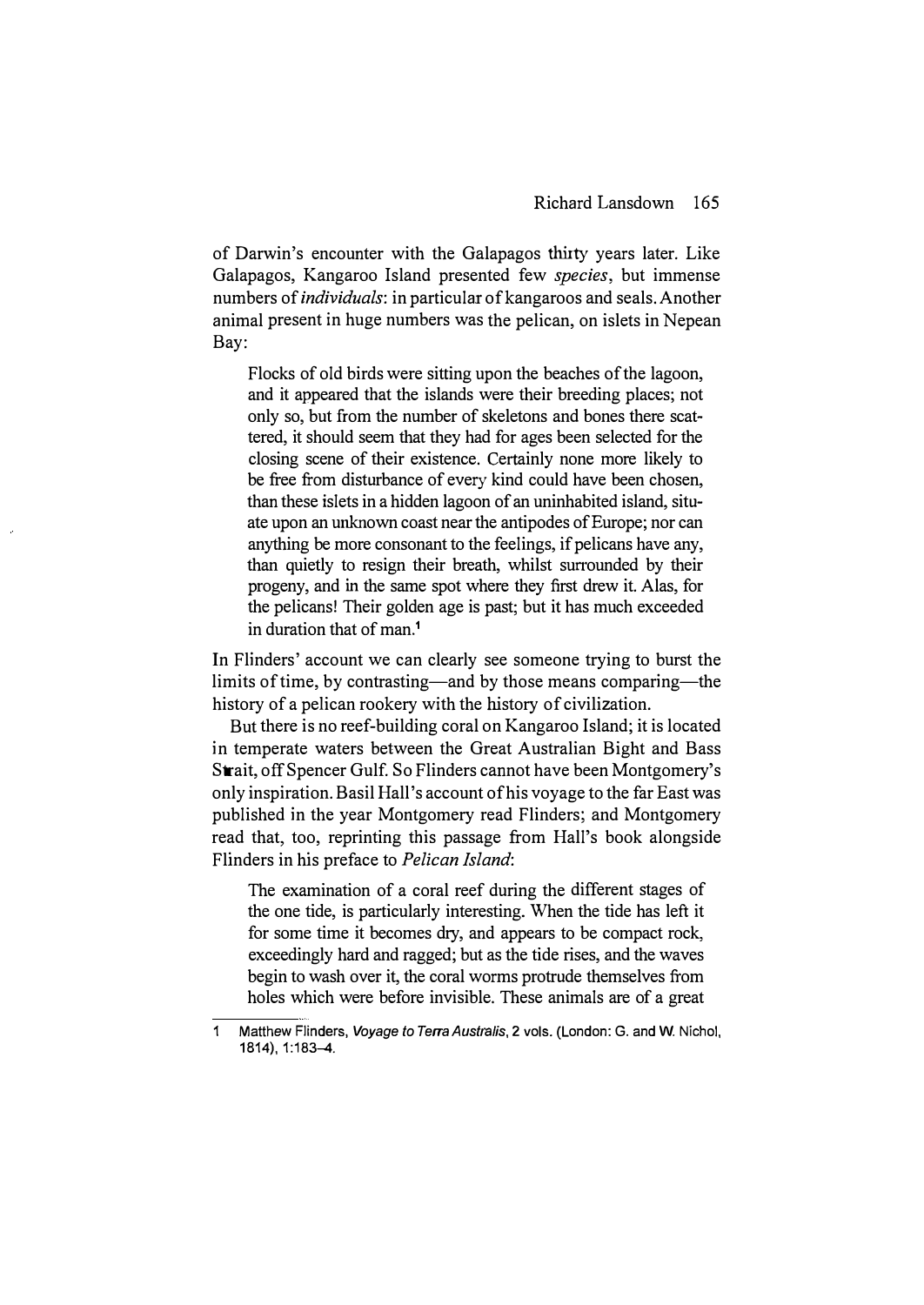of Darwin's encounter with the Galapagos thirty years later. Like Galapagos, Kangaroo Island presented few species, but immense numbers of individuals: in particular of kangaroos and seals. Another animal present in huge numbers was the pelican, on islets in Nepean Bay:

Flocks of old birds were sitting upon the beaches of the lagoon, and it appeared that the islands were their breeding places; not only so, but from the number of skeletons and bones there scattered, it should seem that they had for ages been selected for the closing scene of their existence. Certainly none more likely to be free from disturbance of every kind could have been chosen, than these islets in a hidden lagoon of an uninhabited island, situate upon an unknown coast near the antipodes of Europe; nor can anything be more consonant to the feelings, if pelicans have any, than quietly to resign their breath, whilst surrounded by their progeny, and in the same spot where they first drew it. Alas, for the pelicans! Their golden age is past; but it has much exceeded in duration that of man.1

In Flinders' account we can clearly see someone trying to burst the limits of time, by contrasting—and by those means comparing—the history of a pelican rookery with the history of civilization.

But there is no reef-building coral on Kangaroo Island; it is located in temperate waters between the Great Australian Bight and Bass Strait, off Spencer Gulf. So Flinders cannot have been Montgomery's only inspiration. Basil Hall's account of his voyage to the far East was published in the year Montgomery read Flinders; and Montgomery read that, too, reprinting this passage from Hall's book alongside Flinders in his preface to Pelican Island:

The examination of a coral reef during the different stages of the one tide, is particularly interesting. When the tide has left it for some time it becomes dry, and appears to be compact rock, exceedingly hard and ragged; but as the tide rises, and the waves begin to wash over it, the coral worms protrude themselves from holes which were before invisible. These animals are of a great

<sup>1</sup> Matthew Flinders, Voyage to Terra Australis, 2 vols. (London: G. and W. Nichol, 1814),1:183-4.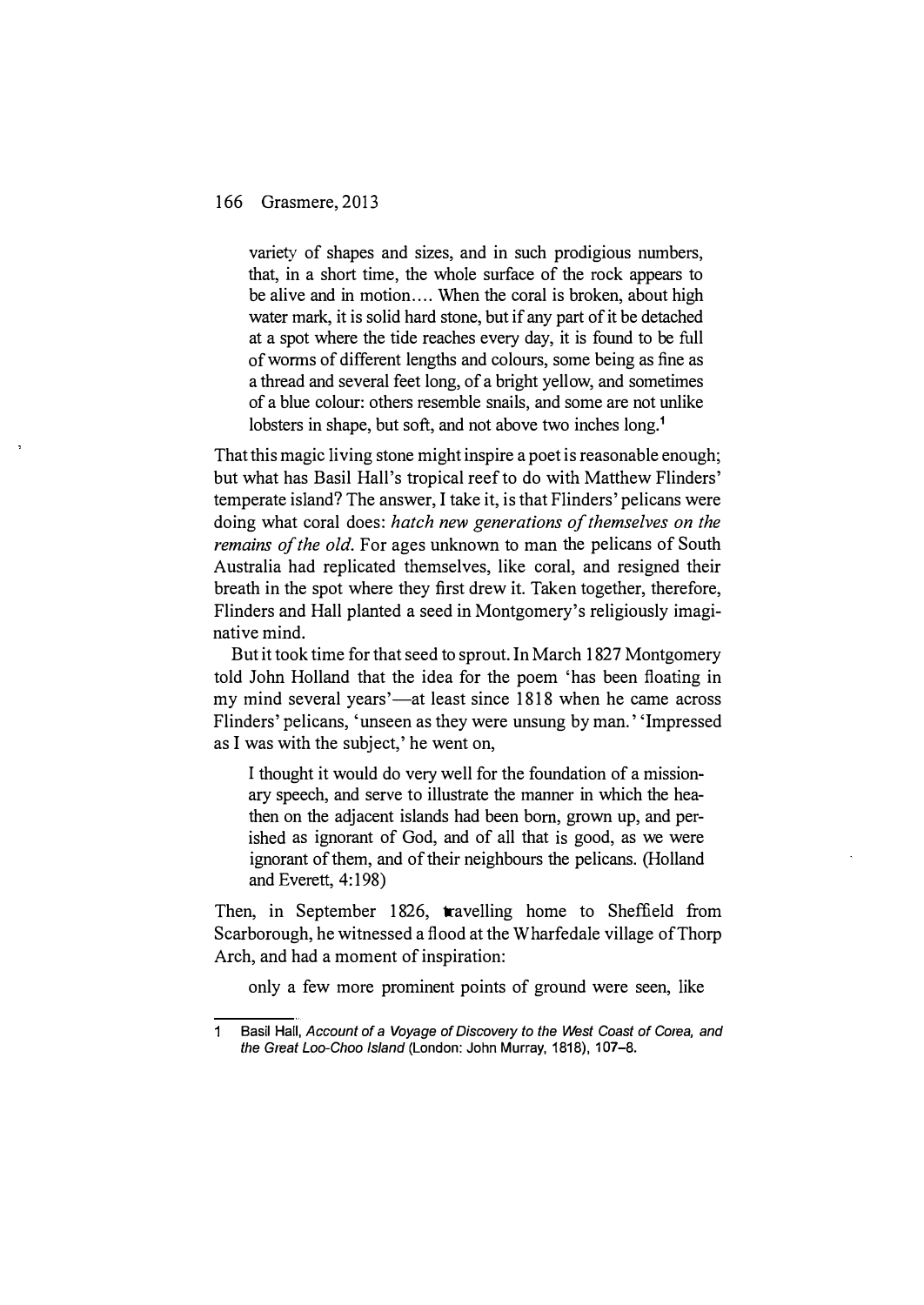variety of shapes and sizes, and in such prodigious numbers, that, in a short time, the whole surface of the rock appears to be alive and in motion.... When the coral is broken, about high water mark, it is solid hard stone, but if any part of it be detached at a spot where the tide reaches every day, it is found to be full of worms of different lengths and colours, some being as fine as a thread and several feet long, of a bright yellow, and sometimes of a blue colour: others resemble snails, and some are not unlike lobsters in shape, but soft, and not above two inches long.<sup>1</sup>

That this magic living stone might inspire a poet is reasonable enough; but what has Basil Hall's tropical reef to do with Matthew Flinders' temperate island? The answer, I take it, is that Flinders' pelicans were doing what coral does: hatch new generations of themselves on the remains of the old. For ages unknown to man the pelicans of South Australia had replicated themselves, like coral, and resigned their breath in the spot where they first drew it. Taken together, therefore, Flinders and Hall planted a seed in Montgomery's religiously imaginative mind.

But it took time for that seed to sprout. In March 1827 Montgomery told John Holland that the idea for the poem 'has been floating in my mind several years'—at least since 1818 when he came across Flinders' pelicans, 'unseen as they were unsung by man.' 'Impressed as I was with the subject,' he went on,

I thought it would do very well for the foundation of a missionary speech, and serve to illustrate the manner in which the heathen on the adjacent islands had been born, grown up, and perished as ignorant of God, and of all that is good, as we were ignorant of them, and of their neighbours the pelicans. (Holland and Everett, 4:198)

Then, in September 1826, travelling home to Sheffield from Scarborough, he witnessed a flood at the W harfedale village of Thorp Arch, and had a moment of inspiration:

only a few more prominent points of ground were seen, like

 $\mathbf{1}$ Basil Hall, Account of a Voyage of Discovery to the West Coast of Corea, and the Great Loo-Choo Island (London: John Murray, 1818), 107-8.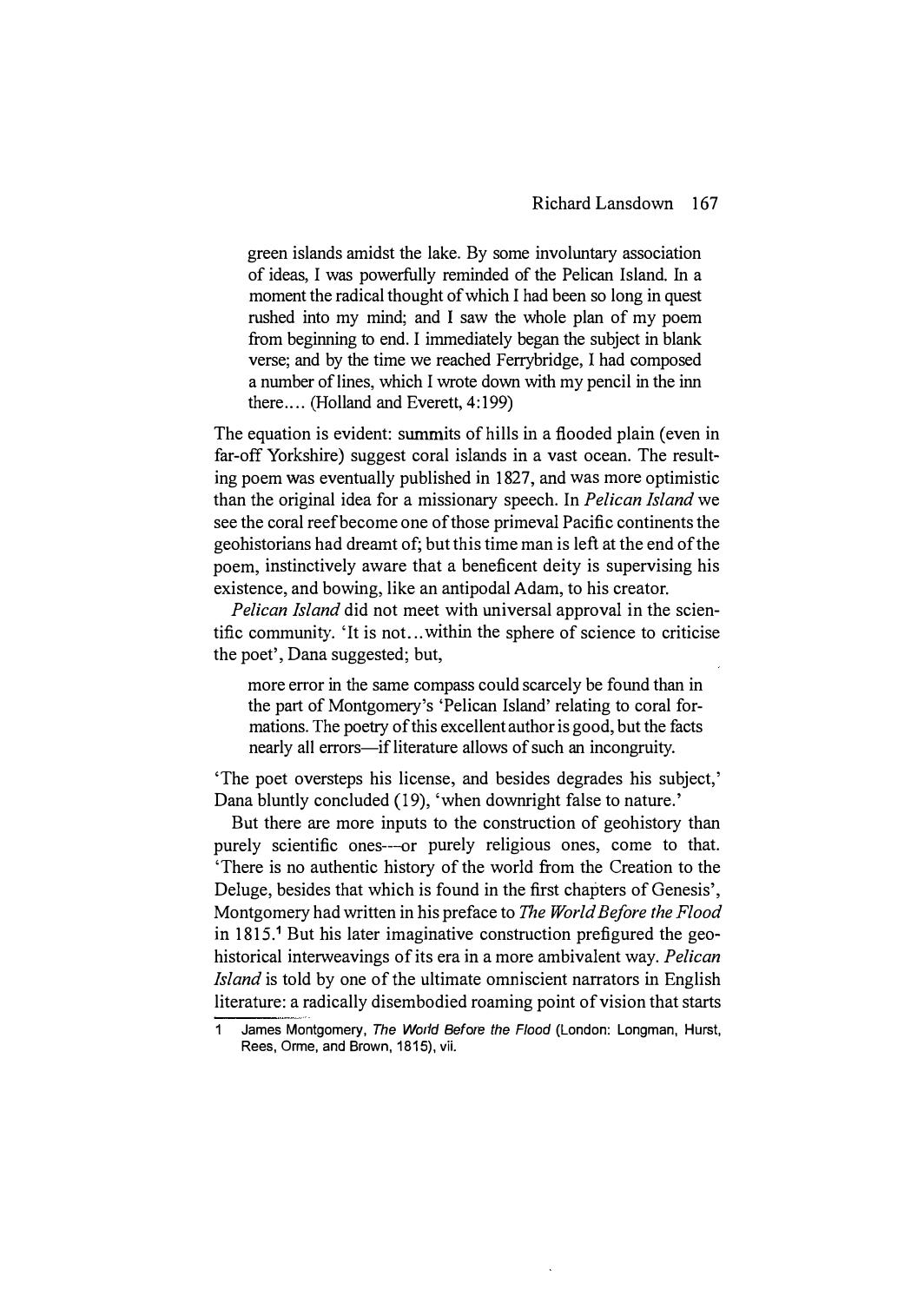green islands amidst the lake. By some involuntary association of ideas, I was powerfully reminded of the Pelican Island. In a moment the radical thought of which I had been so long in quest rushed into my mind; and I saw the whole plan of my poem from beginning to end. I immediately began the subject in blank verse; and by the time we reached Ferrybridge, I had composed a number of lines, which I wrote down with my pencil in the inn there.... (Holland and Everett, 4:199)

The equation is evident: summits of hills in a flooded plain (even in far-off Yorkshire) suggest coral islands in a vast ocean. The resulting poem was eventually published in 1827, and was more optimistic than the original idea for a missionary speech. In *Pelican Island* we see the coral reef become one of those primeval Pacific continents the geohistorians had dreamt of; but this time man is left at the end of the poem, instinctively aware that a beneficent deity is supervising his existence, and bowing, like an antipodal Adam, to his creator.

Pelican Island did not meet with universal approval in the scientific community. 'It is not ... within the sphere of science to criticise the poet', Dana suggested; but,

more error in the same compass could scarcely be found than in the part of Montgomery's 'Pelican Island' relating to coral formations. The poetry of this excellent author is good, but the facts nearly all errors-if literature allows of such an incongruity.

'The poet oversteps his license, and besides degrades his subject,' Dana bluntly concluded (19), 'when downright false to nature.'

But there are more inputs to the construction of geohistory than purely scientific ones--or purely religious ones, come to that. 'There is no authentic history of the world from the Creation to the Deluge, besides that which is found in the first chapters of Genesis', Montgomery had written in his preface to The World Before the Flood in 1815.<sup>1</sup> But his later imaginative construction prefigured the geohistorical interweavings of its era in a more ambivalent way. Pelican Island is told by one of the ultimate omniscient narrators in English literature: a radically disembodied roaming point of vision that starts

<sup>1</sup> James Montgomery, The World Before the Flood (London: Longman, Hurst, Rees, Orme, and Brown, 1815), vii.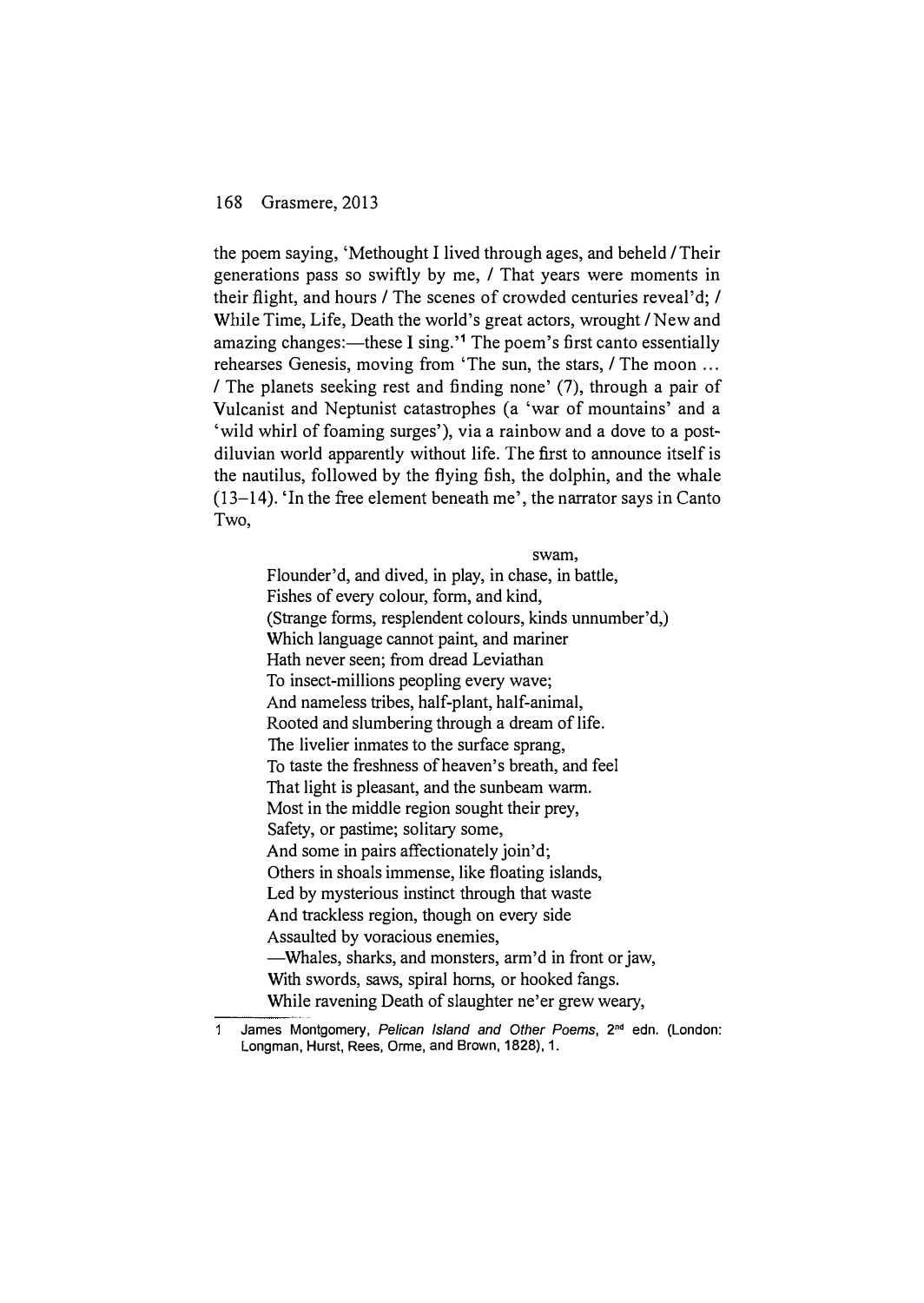---

the poem saying, 'Methought I lived through ages, and beheld / Their generations pass so swiftly by me, / That years were moments in their flight, and hours / The scenes of crowded centuries reveal'd; / While Time, Life, Death the world's great actors, wrought / New and amazing changes:—these I sing.<sup> $1$ </sup> The poem's first canto essentially rehearses Genesis, moving from 'The sun, the stars, / The moon ... / The planets seeking rest and finding none' (7), through a pair of Vulcanist and Neptunist catastrophes (a 'war of mountains' and a 'wild whirl of foaming surges'), via a rainbow and a dove to a postdiluvian world apparently without life. The first to announce itself is the nautilus, followed by the flying fish, the dolphin, and the whale  $(13-14)$ . 'In the free element beneath me', the narrator says in Canto Two,

#### swam,

Flounder'd, and dived, in play, in chase, in battle, Fishes of every colour, form, and kind, (Strange forms, resplendent colours, kinds unnumber'd,) Which language cannot paint, and mariner Hath never seen; from dread Leviathan To insect-millions peopling every wave; And nameless tribes, half-plant, half-animal, Rooted and slumbering through a dream of life. The livelier inmates to the surface sprang, To taste the freshness of heaven's breath, and feel That light is pleasant, and the sunbeam warm. Most in the middle region sought their prey, Safety, or pastime; solitary some, And some in pairs affectionately join'd; Others in shoals immense, like floating islands, Led by mysterious instinct through that waste And trackless region, though on every side Assaulted by voracious enemies, -Whales, sharks, and monsters, arm'd in front or jaw, With swords, saws, spiral horns, or hooked fangs. While ravening Death of slaughter ne'er grew weary,

 $\blacktriangleleft$ James Montgomery, Pelican Island and Other Poems, 2<sup>nd</sup> edn. (London: Longman, Hurst, Rees, Orme, and Brown, 1828), 1.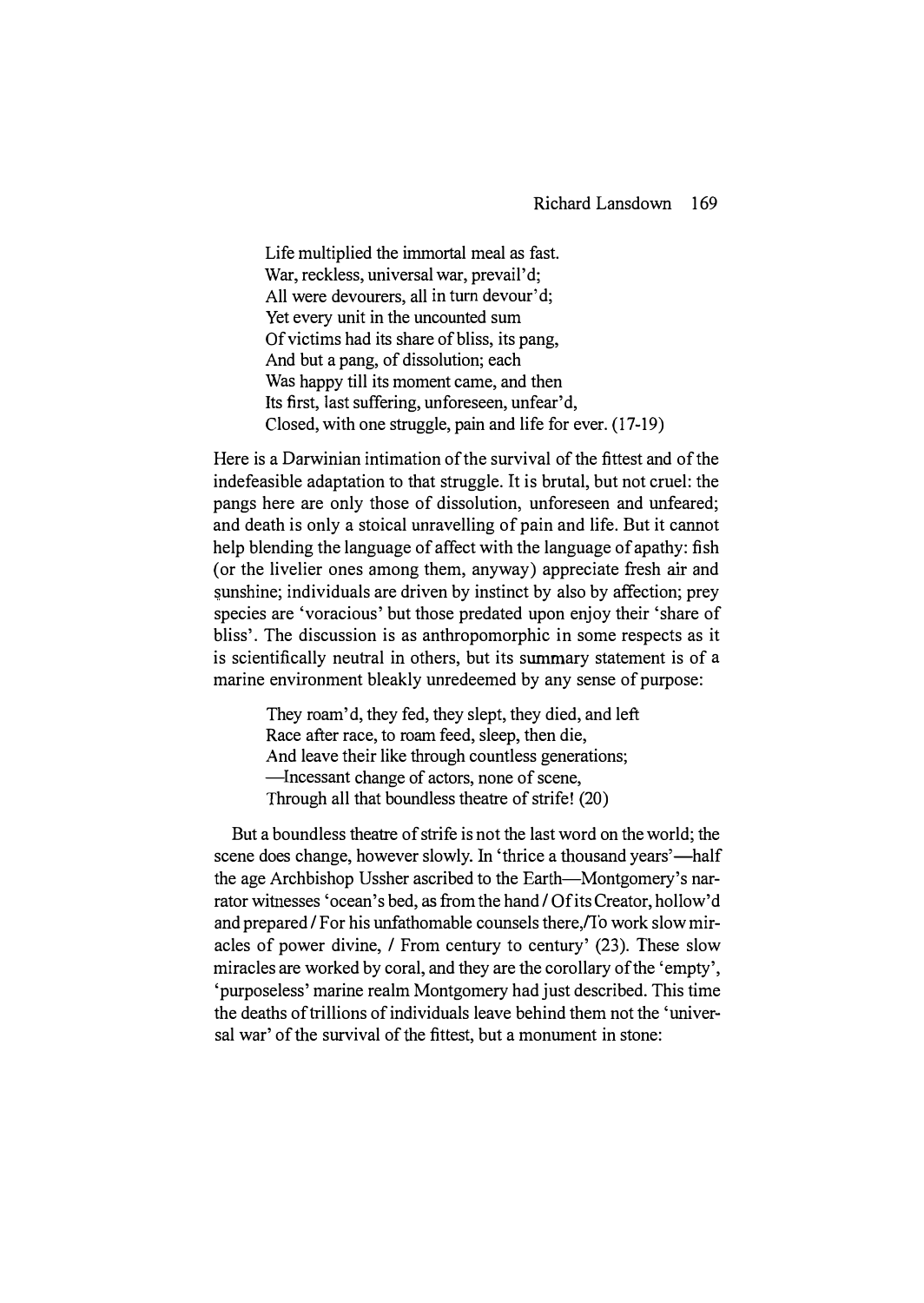Life multiplied the immortal meal as fast. War, reckless, universal war, prevail'd; All were devourers, all in turn devour'd; Yet every unit in the uncounted sum Of victims had its share of bliss, its pang, And but a pang, of dissolution; each Was happy till its moment came, and then Its first, last suffering, unforeseen, unfear'd, Closed, with one struggle, pain and life for ever. (17-19)

Here is a Darwinian intimation of the survival of the fittest and of the indefeasible adaptation to that struggle. It is brutal, but not cruel: the pangs here are only those of dissolution, unforeseen and unfeared; and death is only a stoical unravelling of pain and life. But it cannot help blending the language of affect with the language of apathy: fish (or the livelier ones among them, anyway) appreciate fresh air and sunshine; individuals are driven by instinct by also by affection; prey species are 'voracious' but those predated upon enjoy their 'share of bliss'. The discussion is as anthropomorphic in some respects as it is scientifically neutral in others, but its summary statement is of a marine environment bleakly unredeemed by any sense of purpose:

> They roam'd, they fed, they slept, they died, and left Race after race, to roam feed, sleep, then die, And leave their like through countless generations; -Incessant change of actors, none of scene, Through all that boundless theatre of strife! (20)

But a boundless theatre of strife is not the last word on the world; the scene does change, however slowly. In 'thrice a thousand years'—half the age Archbishop Ussher ascribed to the Earth-Montgomery's narrator witnesses 'ocean's bed, as from the hand / Of its Creator, hollow'd and prepared / For his unfathomable counsels there, To work slow miracles of power divine, / From century to century' (23). These slow miracles are worked by coral, and they are the corollary of the 'empty', 'purposeless' marine realm Montgomery had just described. This time the deaths of trillions of individuals leave behind them not the 'universal war' of the survival of the fittest, but a monument in stone: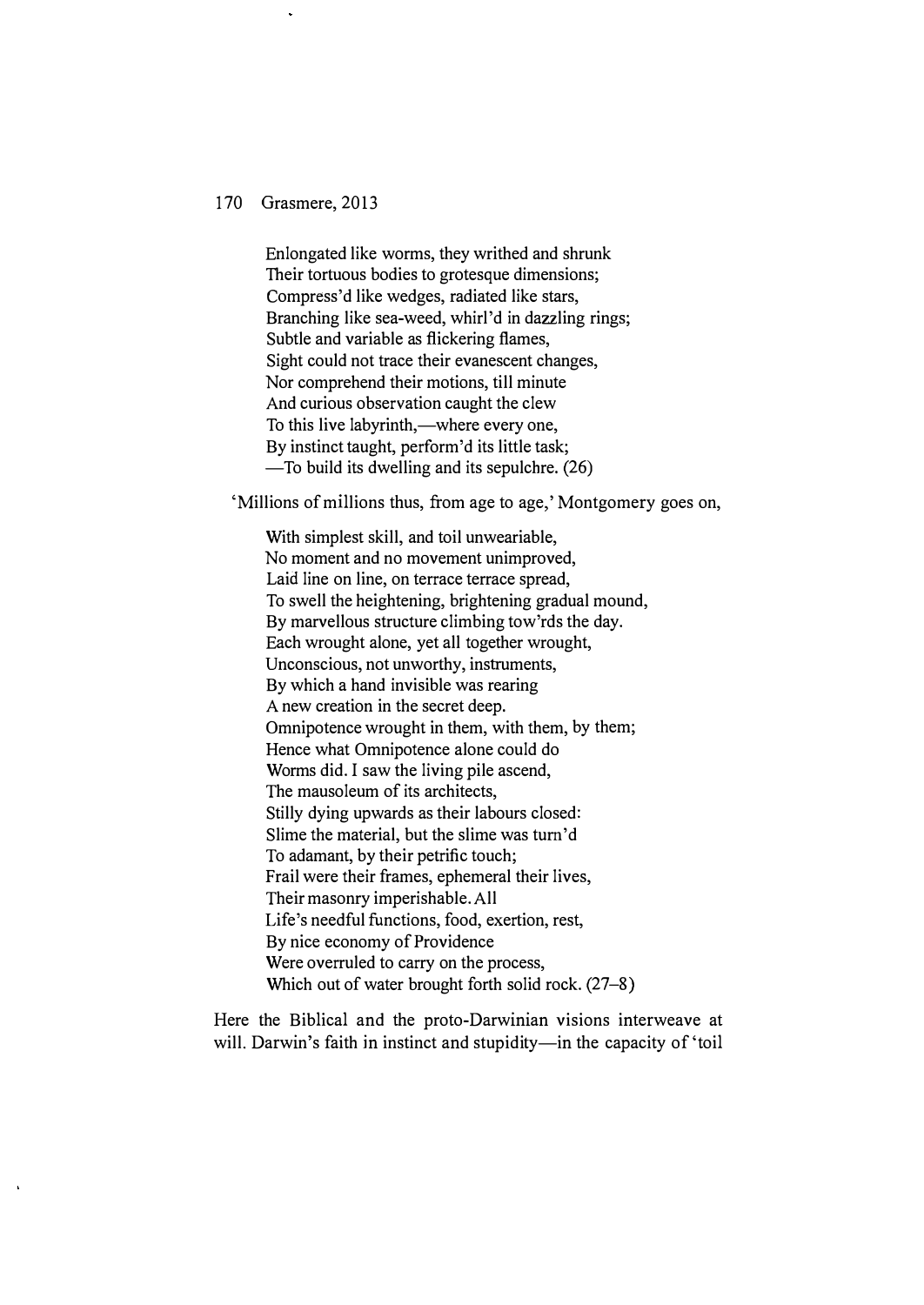Enlongated like worms, they writhed and shrunk Their tortuous bodies to grotesque dimensions; Compress'd like wedges, radiated like stars, Branching like sea-weed, whirl'd in dazzling rings; Subtle and variable as flickering flames, Sight could not trace their evanescent changes, Nor comprehend their motions, till minute And curious observation caught the clew To this live labyrinth,—where every one, By instinct taught, perform'd its little task; -To build its dwelling and its sepulchre. (26)

'Millions of millions thus, from age to age,' Montgomery goes on,

With simplest skill, and toil unweariable, No moment and no movement unimproved, Laid line on line, on terrace terrace spread, To swell the heightening, brightening gradual mound, By marvellous structure climbing tow'rds the day. Each wrought alone, yet all together wrought, Unconscious, not unworthy, instruments, By which a hand invisible was rearing A new creation in the secret deep. Omnipotence wrought in them, with them, by them; Hence what Omnipotence alone could do Worms did. I saw the living pile ascend, The mausoleum of its architects, Stilly dying upwards as their labours closed: Slime the material, but the slime was tum'd To adamant, by their petrific touch; Frail were their frames, ephemeral their lives, Their masonry imperishable. All Life's needful functions, food, exertion, rest, By nice economy of Providence Were overruled to carry on the process, Which out of water brought forth solid rock.  $(27-8)$ 

Here the Biblical and the proto-Darwinian visions interweave at will. Darwin's faith in instinct and stupidity—in the capacity of 'toil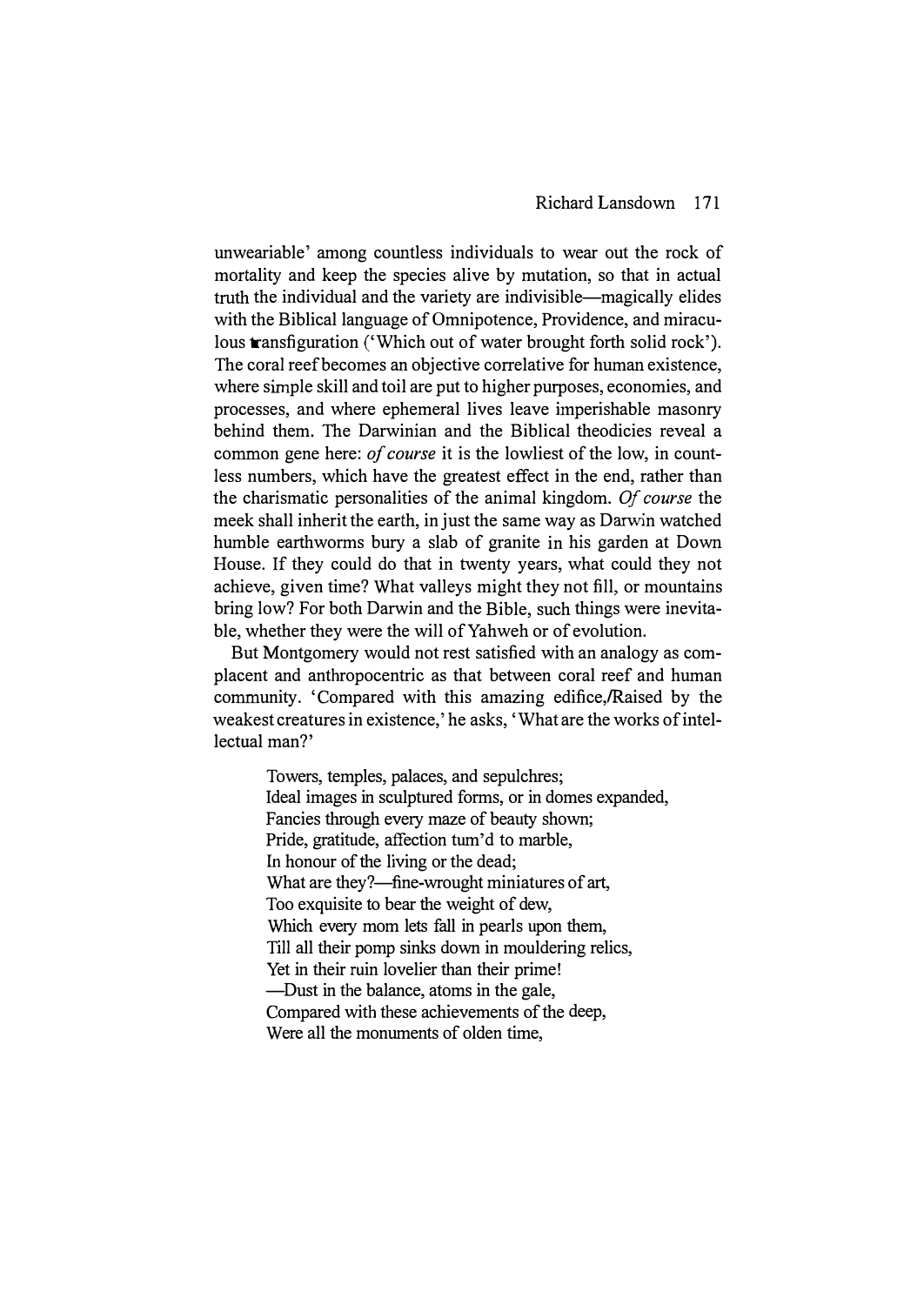#### Richard Lansdown 171

unweariable' among countless individuals to wear out the rock of mortality and keep the species alive by mutation, so that in actual truth the individual and the variety are indivisible-magically elides with the Biblical language of Omnipotence, Providence, and miraculous transfiguration ('Which out of water brought forth solid rock'). The coral reef becomes an objective correlative for human existence, where simple skill and toil are put to higher purposes, economies, and processes, and where ephemeral lives leave imperishable masonry behind them. The Darwinian and the Biblical theodicies reveal a common gene here: of course it is the lowliest of the low, in countless numbers, which have the greatest effect in the end, rather than the charismatic personalities of the animal kingdom. Of course the meek shall inherit the earth, in just the same way as Darwin watched humble earthworms bury a slab of granite in his garden at Down House. If they could do that in twenty years, what could they not achieve, given time? What valleys might they not fill, or mountains bring low? For both Darwin and the Bible, such things were inevitable, whether they were the will of Yahweh or of evolution.

But Montgomery would not rest satisfied with an analogy as complacent and anthropocentric as that between coral reef and human community. 'Compared with this amazing edifice, Raised by the weakest creatures in existence,' he asks, 'What are the works of intellectual man?'

> Towers, temples, palaces, and sepulchres; Ideal images in sculptured forms, or in domes expanded, Fancies through every maze of beauty shown; Pride, gratitude, affection tum'd to marble, In honour of the living or the dead; What are they?—fine-wrought miniatures of art, Too exquisite to bear the weight of dew, Which every mom lets fall in pearls upon them, Till all their pomp sinks down in mouldering relics, Yet in their ruin lovelier than their prime! -Dust in the balance, atoms in the gale, Compared with these achievements of the deep, Were all the monuments of olden time,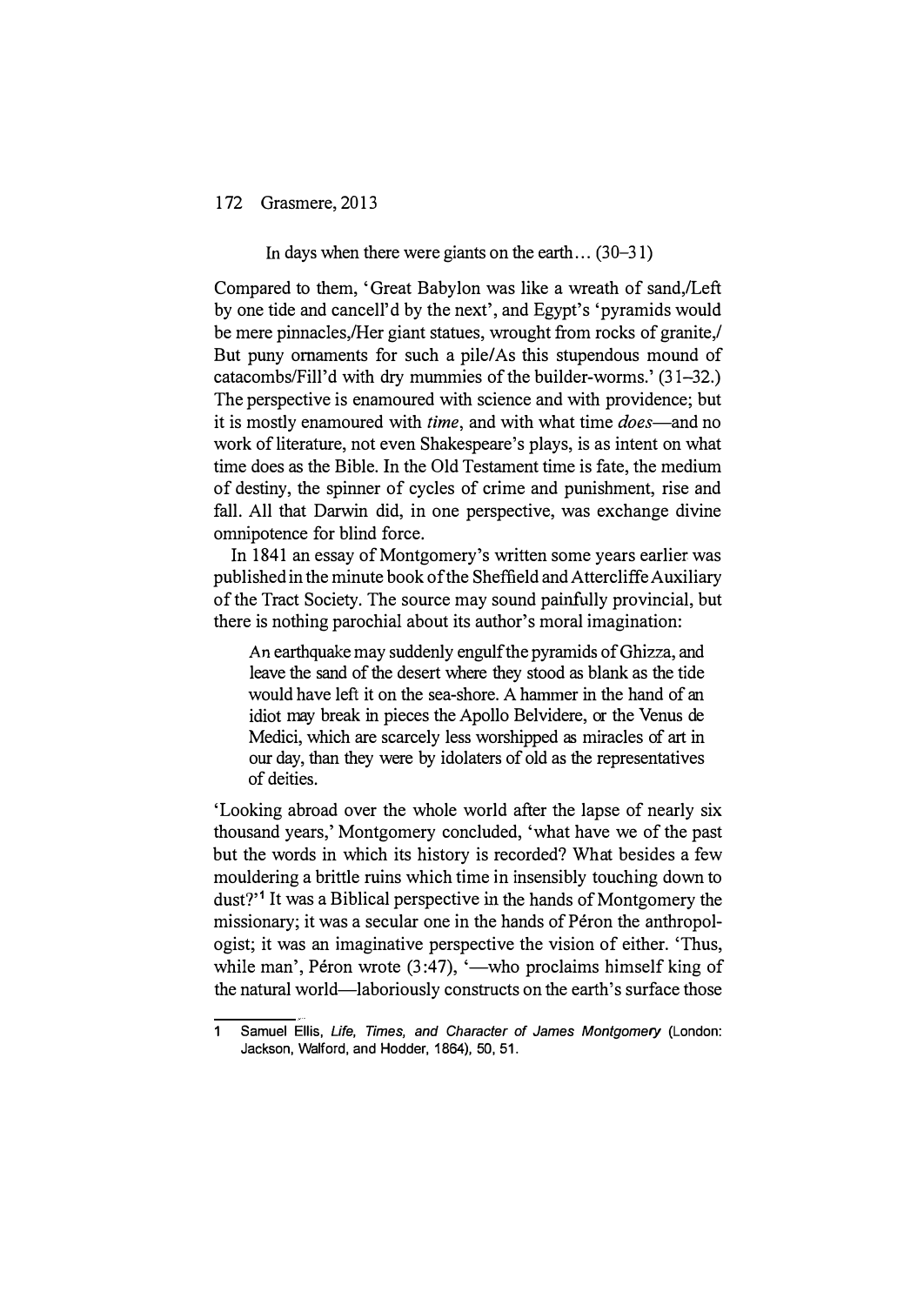In days when there were giants on the earth...  $(30-31)$ 

Compared to them, 'Great Babylon was like a wreath of sand,/Left by one tide and cancell'd by the next', and Egypt's 'pyramids would be mere pinnacles, Her giant statues, wrought from rocks of granite, But puny ornaments for such a pile/As this stupendous mound of catacombslFill'd with dry mummies of the builder-worms.' (31-32.) The perspective is enamoured with science and with providence; but it is mostly enamoured with *time*, and with what time *does*—and no work of literature, not even Shakespeare's plays, is as intent on what time does as the Bible. In the Old Testament time is fate, the medium of destiny, the spinner of cycles of crime and punishment, rise and fall. All that Darwin did, in one perspective, was exchange divine omnipotence for blind force.

In 1841 an essay of Montgomery's written some years earlier was published in the minute book of the Sheffield and Attercliffe Auxiliary of the Tract Society. The source may sound painfully provincial, but there is nothing parochial about its author's moral imagination:

An earthquake may suddenly engulf the pyramids of Ghizza, and leave the sand of the desert where they stood as blank as the tide would have left it on the sea-shore. A hammer in the hand of an idiot may break in pieces the Apollo Belvidere, or the Venus de Medici, which are scarcely less worshipped as miracles of art in our day, than they were by idolaters of old as the representatives of deities.

'Looking abroad over the whole world after the lapse of nearly six thousand years,' Montgomery concluded, 'what have we of the past but the words in which its history is recorded? What besides a few mouldering a brittle ruins which time in insensibly touching down to dust?<sup>1</sup> It was a Biblical perspective in the hands of Montgomery the missionary; it was a secular one in the hands of Péron the anthropologist; it was an imaginative perspective the vision of either. 'Thus, while man', Péron wrote  $(3:47)$ , '—who proclaims himself king of the natural world-laboriously constructs on the earth's surface those

<sup>1</sup> Samuel Ellis, Life, Times, and Character of James Montgomery (London: Jackson, Walford, and Hodder, 1864), 50, 51.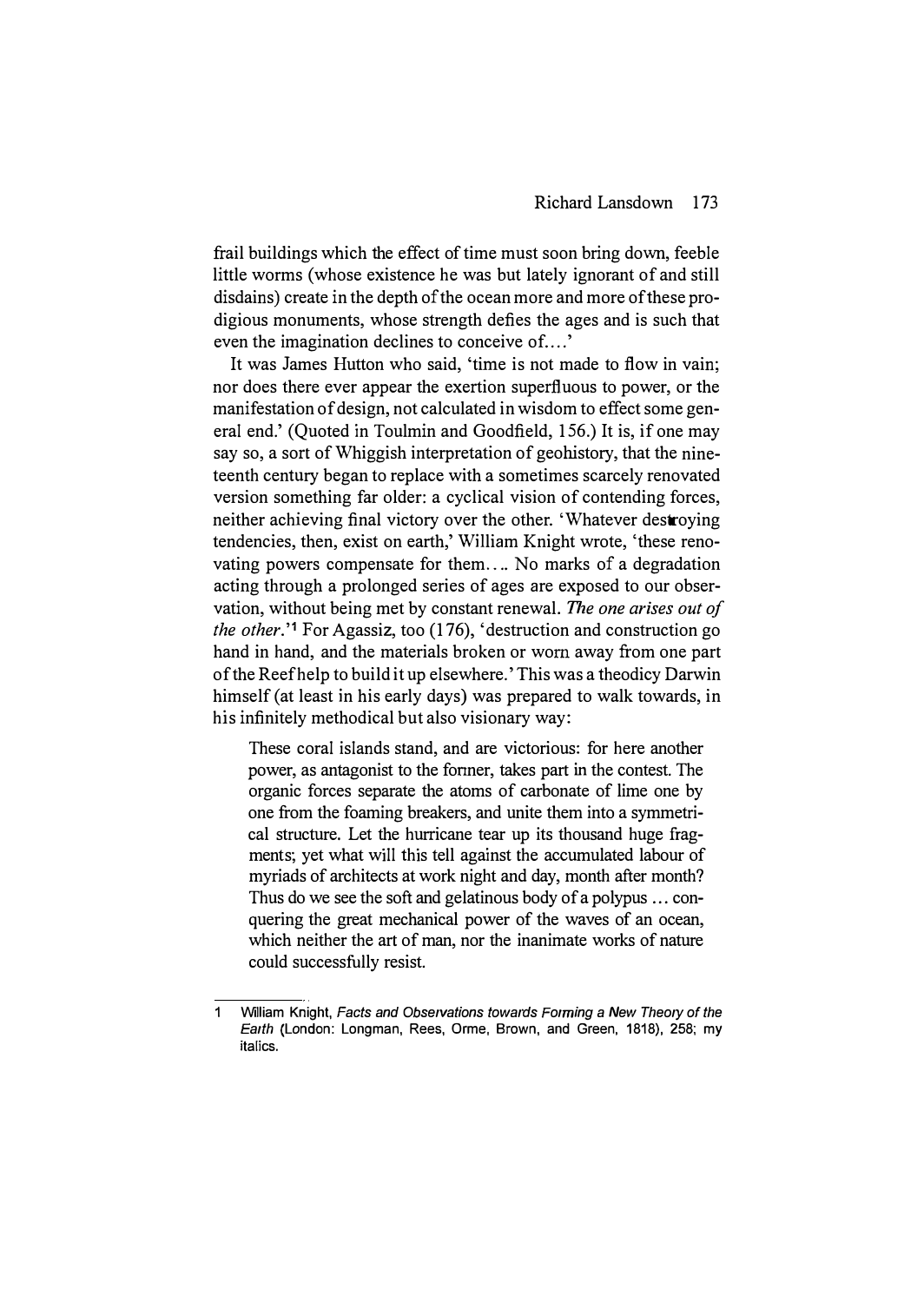frail buildings which the effect of time must soon bring down, feeble little worms (whose existence he was but lately ignorant of and still disdains) create in the depth of the ocean more and more of these prodigious monuments, whose strength defies the ages and is such that even the imagination declines to conceive of....'

It was James Hutton who said, 'time is not made to flow in vain; nor does there ever appear the exertion superfluous to power, or the manifestation of design, not calculated in wisdom to effect some general end.' (Quoted in Toulmin and Goodfield, 156.) It is, if one may say so, a sort of Whiggish interpretation of geohistory, that the nineteenth century began to replace with a sometimes scarcely renovated version something far older: a cyclical vision of contending forces, neither achieving final victory over the other. 'Whatever destroying tendencies, then, exist on earth,' William Knight wrote, 'these renovating powers compensate for them .... No marks of a degradation acting through a prolonged series of ages are exposed to our observation, without being met by constant renewal. The one arises out of the other." For Agassiz, too (176), 'destruction and construction go hand in hand, and the materials broken or worn away from one part of the Reef help to build it up elsewhere. ' This was a theodicy Darwin himself (at least in his early days) was prepared to walk towards, in his infinitely methodical but also visionary way:

These coral islands stand, and are victorious: for here another power, as antagonist to the fonner, takes part in the contest. The organic forces separate the atoms of carbonate of lime one by one from the foaming breakers, and unite them into a symmetrical structure. Let the hurricane tear up its thousand huge fragments; yet what will this tell against the accumulated labour of myriads of architects at work night and day, month after month? Thus do we see the soft and gelatinous body of a polypus ... conquering the great mechanical power of the waves of an ocean, which neither the art of man, nor the inanimate works of nature could successfuIly resist.

<sup>1</sup> William Knight, Facts and Observations towards Forming a New Theory of the Earth (London: Longman, Rees, Orme, Brown, and Green, 1818), 258: my italics.